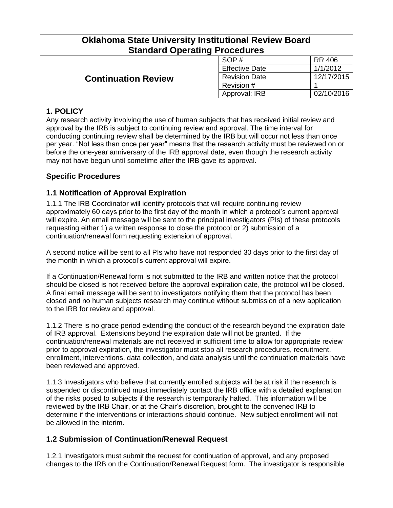| <b>Oklahoma State University Institutional Review Board</b><br><b>Standard Operating Procedures</b> |                       |               |  |
|-----------------------------------------------------------------------------------------------------|-----------------------|---------------|--|
| <b>Continuation Review</b>                                                                          | SOP#                  | <b>RR 406</b> |  |
|                                                                                                     | <b>Effective Date</b> | 1/1/2012      |  |
|                                                                                                     | <b>Revision Date</b>  | 12/17/2015    |  |
|                                                                                                     | Revision #            |               |  |
|                                                                                                     | Approval: IRB         | 02/10/2016    |  |

# **1. POLICY**

Any research activity involving the use of human subjects that has received initial review and approval by the IRB is subject to continuing review and approval. The time interval for conducting continuing review shall be determined by the IRB but will occur not less than once per year. "Not less than once per year" means that the research activity must be reviewed on or before the one-year anniversary of the IRB approval date, even though the research activity may not have begun until sometime after the IRB gave its approval.

# **Specific Procedures**

# **1.1 Notification of Approval Expiration**

1.1.1 The IRB Coordinator will identify protocols that will require continuing review approximately 60 days prior to the first day of the month in which a protocol's current approval will expire. An email message will be sent to the principal investigators (PIs) of these protocols requesting either 1) a written response to close the protocol or 2) submission of a continuation/renewal form requesting extension of approval.

A second notice will be sent to all PIs who have not responded 30 days prior to the first day of the month in which a protocol's current approval will expire.

If a Continuation/Renewal form is not submitted to the IRB and written notice that the protocol should be closed is not received before the approval expiration date, the protocol will be closed. A final email message will be sent to investigators notifying them that the protocol has been closed and no human subjects research may continue without submission of a new application to the IRB for review and approval.

1.1.2 There is no grace period extending the conduct of the research beyond the expiration date of IRB approval. Extensions beyond the expiration date will not be granted. If the continuation/renewal materials are not received in sufficient time to allow for appropriate review prior to approval expiration, the investigator must stop all research procedures, recruitment, enrollment, interventions, data collection, and data analysis until the continuation materials have been reviewed and approved.

1.1.3 Investigators who believe that currently enrolled subjects will be at risk if the research is suspended or discontinued must immediately contact the IRB office with a detailed explanation of the risks posed to subjects if the research is temporarily halted. This information will be reviewed by the IRB Chair, or at the Chair's discretion, brought to the convened IRB to determine if the interventions or interactions should continue. New subject enrollment will not be allowed in the interim.

# **1.2 Submission of Continuation/Renewal Request**

1.2.1 Investigators must submit the request for continuation of approval, and any proposed changes to the IRB on the Continuation/Renewal Request form. The investigator is responsible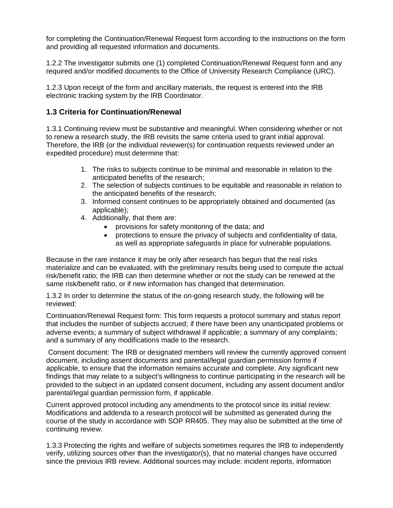for completing the Continuation/Renewal Request form according to the instructions on the form and providing all requested information and documents.

1.2.2 The investigator submits one (1) completed Continuation/Renewal Request form and any required and/or modified documents to the Office of University Research Compliance (URC).

1.2.3 Upon receipt of the form and ancillary materials, the request is entered into the IRB electronic tracking system by the IRB Coordinator.

### **1.3 Criteria for Continuation/Renewal**

1.3.1 Continuing review must be substantive and meaningful. When considering whether or not to renew a research study, the IRB revisits the same criteria used to grant initial approval. Therefore, the IRB (or the individual reviewer(s) for continuation requests reviewed under an expedited procedure) must determine that:

- 1. The risks to subjects continue to be minimal and reasonable in relation to the anticipated benefits of the research;
- 2. The selection of subjects continues to be equitable and reasonable in relation to the anticipated benefits of the research;
- 3. Informed consent continues to be appropriately obtained and documented (as applicable);
- 4. Additionally, that there are:
	- provisions for safety monitoring of the data; and
	- protections to ensure the privacy of subjects and confidentiality of data, as well as appropriate safeguards in place for vulnerable populations.

Because in the rare instance it may be only after research has begun that the real risks materialize and can be evaluated, with the preliminary results being used to compute the actual risk/benefit ratio; the IRB can then determine whether or not the study can be renewed at the same risk/benefit ratio, or if new information has changed that determination.

1.3.2 In order to determine the status of the on-going research study, the following will be reviewed:

Continuation/Renewal Request form: This form requests a protocol summary and status report that includes the number of subjects accrued; if there have been any unanticipated problems or adverse events; a summary of subject withdrawal if applicable; a summary of any complaints; and a summary of any modifications made to the research.

Consent document: The IRB or designated members will review the currently approved consent document, including assent documents and parental/legal guardian permission forms if applicable, to ensure that the information remains accurate and complete. Any significant new findings that may relate to a subject's willingness to continue participating in the research will be provided to the subject in an updated consent document, including any assent document and/or parental/legal guardian permission form, if applicable.

Current approved protocol including any amendments to the protocol since its initial review: Modifications and addenda to a research protocol will be submitted as generated during the course of the study in accordance with SOP RR405. They may also be submitted at the time of continuing review.

1.3.3 Protecting the rights and welfare of subjects sometimes requires the IRB to independently verify, utilizing sources other than the investigator(s), that no material changes have occurred since the previous IRB review. Additional sources may include: incident reports, information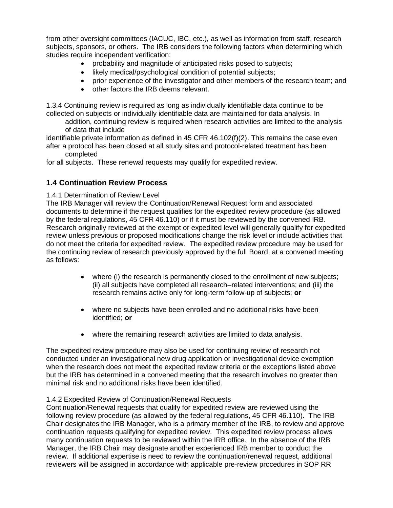from other oversight committees (IACUC, IBC, etc.), as well as information from staff, research subjects, sponsors, or others. The IRB considers the following factors when determining which studies require independent verification:

- probability and magnitude of anticipated risks posed to subjects;
- likely medical/psychological condition of potential subjects;
- prior experience of the investigator and other members of the research team; and
- other factors the IRB deems relevant.

1.3.4 Continuing review is required as long as individually identifiable data continue to be collected on subjects or individually identifiable data are maintained for data analysis. In

addition, continuing review is required when research activities are limited to the analysis of data that include

identifiable private information as defined in 45 CFR 46.102(f)(2). This remains the case even after a protocol has been closed at all study sites and protocol-related treatment has been completed

for all subjects. These renewal requests may qualify for expedited review.

#### **1.4 Continuation Review Process**

1.4.1 Determination of Review Level

The IRB Manager will review the Continuation/Renewal Request form and associated documents to determine if the request qualifies for the expedited review procedure (as allowed by the federal regulations, 45 CFR 46.110) or if it must be reviewed by the convened IRB. Research originally reviewed at the exempt or expedited level will generally qualify for expedited review unless previous or proposed modifications change the risk level or include activities that do not meet the criteria for expedited review. The expedited review procedure may be used for the continuing review of research previously approved by the full Board, at a convened meeting as follows:

- where (i) the research is permanently closed to the enrollment of new subjects; (ii) all subjects have completed all research–related interventions; and (iii) the research remains active only for long-term follow-up of subjects; **or**
- where no subjects have been enrolled and no additional risks have been identified; **or**
- where the remaining research activities are limited to data analysis.

The expedited review procedure may also be used for continuing review of research not conducted under an investigational new drug application or investigational device exemption when the research does not meet the expedited review criteria or the exceptions listed above but the IRB has determined in a convened meeting that the research involves no greater than minimal risk and no additional risks have been identified.

#### 1.4.2 Expedited Review of Continuation/Renewal Requests

Continuation/Renewal requests that qualify for expedited review are reviewed using the following review procedure (as allowed by the federal regulations, 45 CFR 46.110). The IRB Chair designates the IRB Manager, who is a primary member of the IRB, to review and approve continuation requests qualifying for expedited review. This expedited review process allows many continuation requests to be reviewed within the IRB office. In the absence of the IRB Manager, the IRB Chair may designate another experienced IRB member to conduct the review. If additional expertise is need to review the continuation/renewal request, additional reviewers will be assigned in accordance with applicable pre-review procedures in SOP RR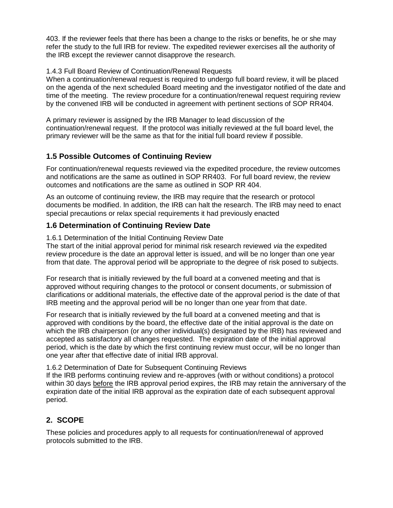403. If the reviewer feels that there has been a change to the risks or benefits, he or she may refer the study to the full IRB for review. The expedited reviewer exercises all the authority of the IRB except the reviewer cannot disapprove the research.

#### 1.4.3 Full Board Review of Continuation/Renewal Requests

When a continuation/renewal request is required to undergo full board review, it will be placed on the agenda of the next scheduled Board meeting and the investigator notified of the date and time of the meeting. The review procedure for a continuation/renewal request requiring review by the convened IRB will be conducted in agreement with pertinent sections of SOP RR404.

A primary reviewer is assigned by the IRB Manager to lead discussion of the continuation/renewal request. If the protocol was initially reviewed at the full board level, the primary reviewer will be the same as that for the initial full board review if possible.

### **1.5 Possible Outcomes of Continuing Review**

For continuation/renewal requests reviewed via the expedited procedure, the review outcomes and notifications are the same as outlined in SOP RR403. For full board review, the review outcomes and notifications are the same as outlined in SOP RR 404.

As an outcome of continuing review, the IRB may require that the research or protocol documents be modified. In addition, the IRB can halt the research. The IRB may need to enact special precautions or relax special requirements it had previously enacted

### **1.6 Determination of Continuing Review Date**

1.6.1 Determination of the Initial Continuing Review Date

The start of the initial approval period for minimal risk research reviewed *via* the expedited review procedure is the date an approval letter is issued, and will be no longer than one year from that date. The approval period will be appropriate to the degree of risk posed to subjects.

For research that is initially reviewed by the full board at a convened meeting and that is approved without requiring changes to the protocol or consent documents, or submission of clarifications or additional materials, the effective date of the approval period is the date of that IRB meeting and the approval period will be no longer than one year from that date.

For research that is initially reviewed by the full board at a convened meeting and that is approved with conditions by the board, the effective date of the initial approval is the date on which the IRB chairperson (or any other individual(s) designated by the IRB) has reviewed and accepted as satisfactory all changes requested. The expiration date of the initial approval period, which is the date by which the first continuing review must occur, will be no longer than one year after that effective date of initial IRB approval.

#### 1.6.2 Determination of Date for Subsequent Continuing Reviews

If the IRB performs continuing review and re-approves (with or without conditions) a protocol within 30 days before the IRB approval period expires, the IRB may retain the anniversary of the expiration date of the initial IRB approval as the expiration date of each subsequent approval period.

### **2. SCOPE**

These policies and procedures apply to all requests for continuation/renewal of approved protocols submitted to the IRB.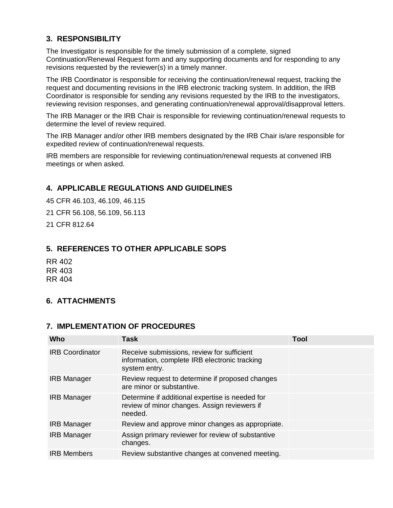# **3. RESPONSIBILITY**

The Investigator is responsible for the timely submission of a complete, signed Continuation/Renewal Request form and any supporting documents and for responding to any revisions requested by the reviewer(s) in a timely manner.

The IRB Coordinator is responsible for receiving the continuation/renewal request, tracking the request and documenting revisions in the IRB electronic tracking system. In addition, the IRB Coordinator is responsible for sending any revisions requested by the IRB to the investigators, reviewing revision responses, and generating continuation/renewal approval/disapproval letters.

The IRB Manager or the IRB Chair is responsible for reviewing continuation/renewal requests to determine the level of review required.

The IRB Manager and/or other IRB members designated by the IRB Chair is/are responsible for expedited review of continuation/renewal requests.

IRB members are responsible for reviewing continuation/renewal requests at convened IRB meetings or when asked.

## **4. APPLICABLE REGULATIONS AND GUIDELINES**

45 CFR 46.103, 46.109, 46.115 21 CFR 56.108, 56.109, 56.113 21 CFR 812.64

### **5. REFERENCES TO OTHER APPLICABLE SOPS**

RR 402 RR 403 RR 404

# **6. ATTACHMENTS**

### **7. IMPLEMENTATION OF PROCEDURES**

| Who                    | Task                                                                                                         | <b>Tool</b> |
|------------------------|--------------------------------------------------------------------------------------------------------------|-------------|
| <b>IRB Coordinator</b> | Receive submissions, review for sufficient<br>information, complete IRB electronic tracking<br>system entry. |             |
| <b>IRB Manager</b>     | Review request to determine if proposed changes<br>are minor or substantive.                                 |             |
| <b>IRB Manager</b>     | Determine if additional expertise is needed for<br>review of minor changes. Assign reviewers if<br>needed.   |             |
| <b>IRB Manager</b>     | Review and approve minor changes as appropriate.                                                             |             |
| <b>IRB Manager</b>     | Assign primary reviewer for review of substantive<br>changes.                                                |             |
| <b>IRB Members</b>     | Review substantive changes at convened meeting.                                                              |             |